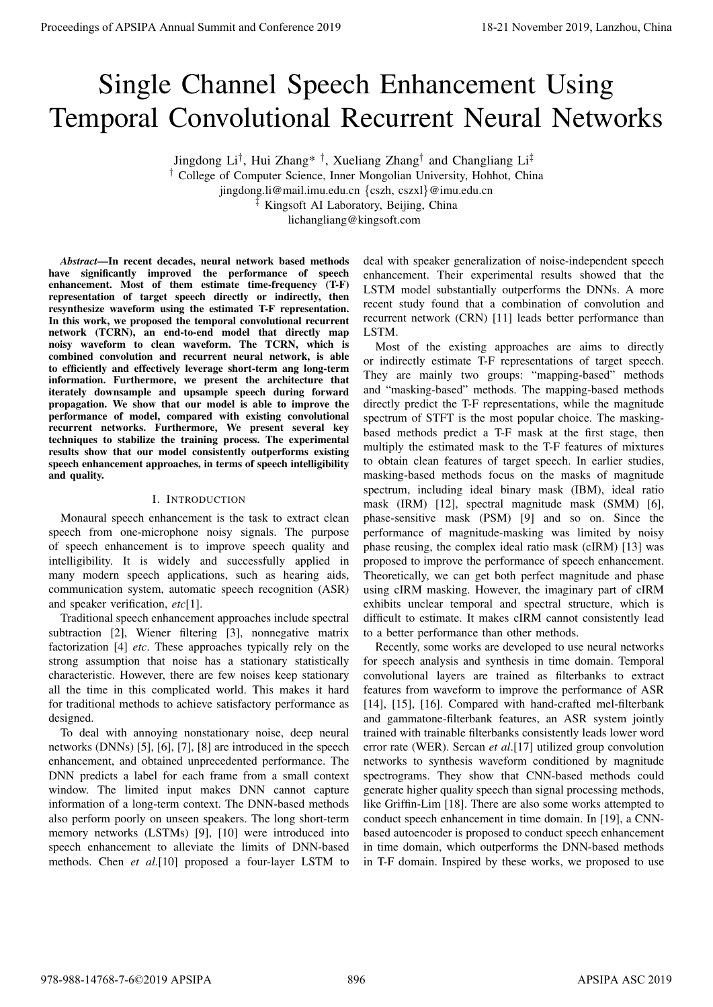# Single Channel Speech Enhancement Using Temporal Convolutional Recurrent Neural Networks

Jingdong Li<sup>†</sup>, Hui Zhang<sup>\*†</sup>, Xueliang Zhang<sup>†</sup> and Changliang Li<sup>‡</sup>

† College of Computer Science, Inner Mongolian University, Hohhot, China jingdong.li@mail.imu.edu.cn {cszh, cszxl}@imu.edu.cn ‡ Kingsoft AI Laboratory, Beijing, China

lichangliang@kingsoft.com

*Abstract*—In recent decades, neural network based methods have significantly improved the performance of speech enhancement. Most of them estimate time-frequency (T-F) representation of target speech directly or indirectly, then resynthesize waveform using the estimated T-F representation. In this work, we proposed the temporal convolutional recurrent network (TCRN), an end-to-end model that directly map noisy waveform to clean waveform. The TCRN, which is combined convolution and recurrent neural network, is able to efficiently and effectively leverage short-term ang long-term information. Furthermore, we present the architecture that iterately downsample and upsample speech during forward propagation. We show that our model is able to improve the performance of model, compared with existing convolutional recurrent networks. Furthermore, We present several key techniques to stabilize the training process. The experimental results show that our model consistently outperforms existing speech enhancement approaches, in terms of speech intelligibility and quality.

## I. INTRODUCTION

Monaural speech enhancement is the task to extract clean speech from one-microphone noisy signals. The purpose of speech enhancement is to improve speech quality and intelligibility. It is widely and successfully applied in many modern speech applications, such as hearing aids, communication system, automatic speech recognition (ASR) and speaker verification, *etc*[1].

Traditional speech enhancement approaches include spectral subtraction [2], Wiener filtering [3], nonnegative matrix factorization [4] *etc*. These approaches typically rely on the strong assumption that noise has a stationary statistically characteristic. However, there are few noises keep stationary all the time in this complicated world. This makes it hard for traditional methods to achieve satisfactory performance as designed.

To deal with annoying nonstationary noise, deep neural networks (DNNs) [5], [6], [7], [8] are introduced in the speech enhancement, and obtained unprecedented performance. The DNN predicts a label for each frame from a small context window. The limited input makes DNN cannot capture information of a long-term context. The DNN-based methods also perform poorly on unseen speakers. The long short-term memory networks (LSTMs) [9], [10] were introduced into speech enhancement to alleviate the limits of DNN-based methods. Chen *et al*.[10] proposed a four-layer LSTM to

deal with speaker generalization of noise-independent speech enhancement. Their experimental results showed that the LSTM model substantially outperforms the DNNs. A more recent study found that a combination of convolution and recurrent network (CRN) [11] leads better performance than LSTM.

Most of the existing approaches are aims to directly or indirectly estimate T-F representations of target speech. They are mainly two groups: "mapping-based" methods and "masking-based" methods. The mapping-based methods directly predict the T-F representations, while the magnitude spectrum of STFT is the most popular choice. The maskingbased methods predict a T-F mask at the first stage, then multiply the estimated mask to the T-F features of mixtures to obtain clean features of target speech. In earlier studies, masking-based methods focus on the masks of magnitude spectrum, including ideal binary mask (IBM), ideal ratio mask (IRM) [12], spectral magnitude mask (SMM) [6], phase-sensitive mask (PSM) [9] and so on. Since the performance of magnitude-masking was limited by noisy phase reusing, the complex ideal ratio mask (cIRM) [13] was proposed to improve the performance of speech enhancement. Theoretically, we can get both perfect magnitude and phase using cIRM masking. However, the imaginary part of cIRM exhibits unclear temporal and spectral structure, which is difficult to estimate. It makes cIRM cannot consistently lead to a better performance than other methods. **Proceeding of APSIPA Annual Summit and Conference 2019**<br>
Single Channel Speech Enhancement Using 2019<br>
Temporal Conventional Recurrent Neural Neural Neural Neural Neural Neural Neural Neural Neural Neural Neural Neural N

Recently, some works are developed to use neural networks for speech analysis and synthesis in time domain. Temporal convolutional layers are trained as filterbanks to extract features from waveform to improve the performance of ASR [14], [15], [16]. Compared with hand-crafted mel-filterbank and gammatone-filterbank features, an ASR system jointly trained with trainable filterbanks consistently leads lower word error rate (WER). Sercan *et al*.[17] utilized group convolution networks to synthesis waveform conditioned by magnitude spectrograms. They show that CNN-based methods could generate higher quality speech than signal processing methods, like Griffin-Lim [18]. There are also some works attempted to conduct speech enhancement in time domain. In [19], a CNNbased autoencoder is proposed to conduct speech enhancement in time domain, which outperforms the DNN-based methods in T-F domain. Inspired by these works, we proposed to use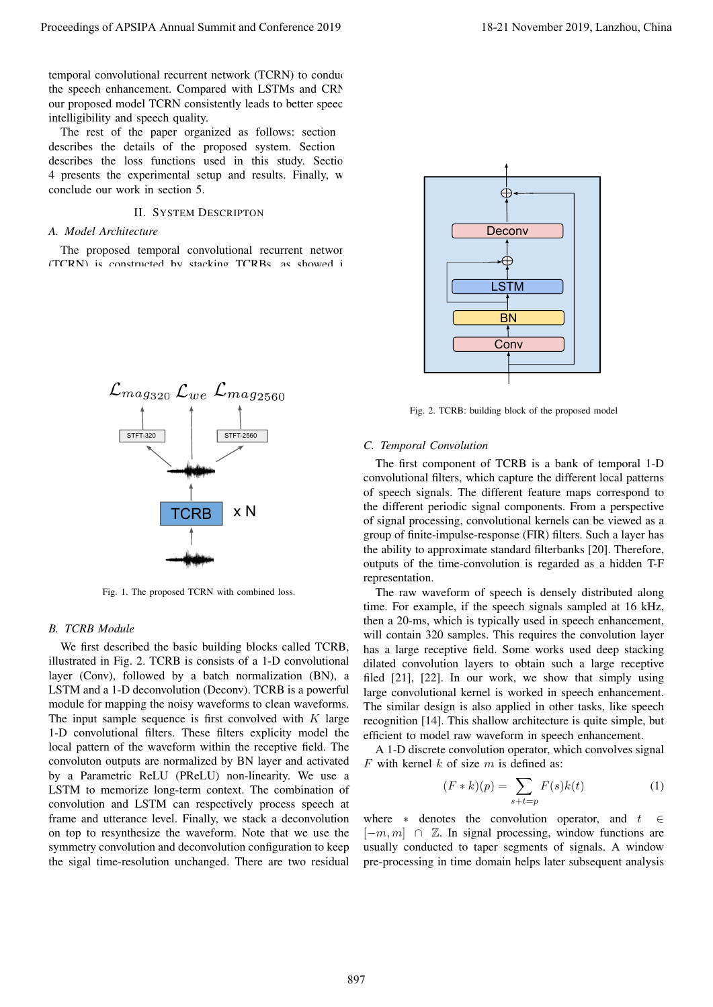temporal convolutional recurrent network (TCRN) to conduct the speech enhancement. Compared with LSTMs and CRN our proposed model TCRN consistently leads to better speech

intelligibility and speech quality. The rest of the paper organized as follows: section describes the details of the proposed system. Section describes the loss functions used in this study. Section 4 presents the experimental setup and results. Finally, we conclude our work in section 5.

## II. SYSTEM DESCRIPTON

#### *A. Model Architecture*

The proposed temporal convolutional recurrent network (TCRN) is constructed by stacking TCRBs, as showed in



Fig. 1. The proposed TCRN with combined loss.

#### *B. TCRB Module*

We first described the basic building blocks called TCRB, illustrated in Fig. 2. TCRB is consists of a 1-D convolutional layer (Conv), followed by a batch normalization (BN), a LSTM and a 1-D deconvolution (Deconv). TCRB is a powerful module for mapping the noisy waveforms to clean waveforms. The input sample sequence is first convolved with  $K$  large 1-D convolutional filters. These filters explicity model the local pattern of the waveform within the receptive field. The convoluton outputs are normalized by BN layer and activated by a Parametric ReLU (PReLU) non-linearity. We use a LSTM to memorize long-term context. The combination of convolution and LSTM can respectively process speech at frame and utterance level. Finally, we stack a deconvolution on top to resynthesize the waveform. Note that we use the symmetry convolution and deconvolution configuration to keep the sigal time-resolution unchanged. There are two residual Procedure of APSIPA Annual Summit at China 2019<br>
ID and Conference 2019 18-21 November 2019, Landou Conference 2019<br>
In grand conference 2019, Landou Conference 2019, Landou<br>
ID and Conference 2019, Landou Conference 2019



Fig. 2. TCRB: building block of the proposed model

#### *C. Temporal Convolution*

The first component of TCRB is a bank of temporal 1-D convolutional filters, which capture the different local patterns of speech signals. The different feature maps correspond to the different periodic signal components. From a perspective of signal processing, convolutional kernels can be viewed as a group of finite-impulse-response (FIR) filters. Such a layer has the ability to approximate standard filterbanks [20]. Therefore, outputs of the time-convolution is regarded as a hidden T-F representation.

The raw waveform of speech is densely distributed along time. For example, if the speech signals sampled at 16 kHz, then a 20-ms, which is typically used in speech enhancement, will contain 320 samples. This requires the convolution layer has a large receptive field. Some works used deep stacking dilated convolution layers to obtain such a large receptive filed [21], [22]. In our work, we show that simply using large convolutional kernel is worked in speech enhancement. The similar design is also applied in other tasks, like speech recognition [14]. This shallow architecture is quite simple, but efficient to model raw waveform in speech enhancement.

A 1-D discrete convolution operator, which convolves signal  $F$  with kernel  $k$  of size  $m$  is defined as:

$$
(F * k)(p) = \sum_{s+t=p} F(s)k(t)
$$
 (1)

where  $\ast$  denotes the convolution operator, and  $t \in \mathbb{R}$  $[-m, m] \cap \mathbb{Z}$ . In signal processing, window functions are usually conducted to taper segments of signals. A window pre-processing in time domain helps later subsequent analysis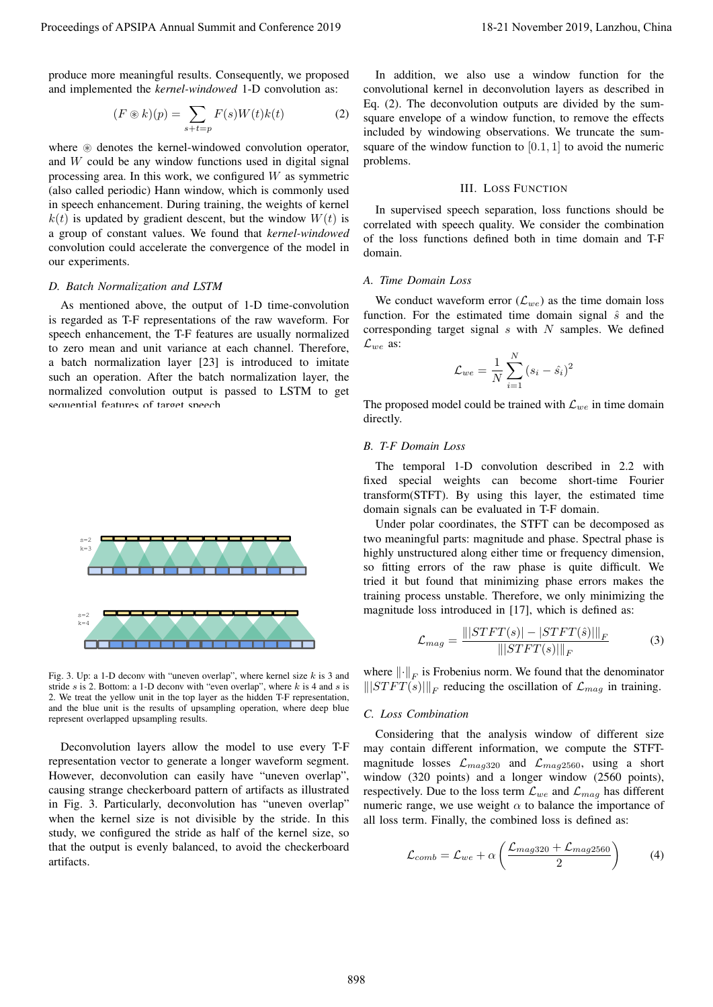produce more meaningful results. Consequently, we proposed and implemented the *kernel-windowed* 1-D convolution as:

$$
(F \circledast k)(p) = \sum_{s+t=p} F(s)W(t)k(t)
$$
 (2)

where  $\circledast$  denotes the kernel-windowed convolution operator, and W could be any window functions used in digital signal processing area. In this work, we configured  $W$  as symmetric (also called periodic) Hann window, which is commonly used in speech enhancement. During training, the weights of kernel  $k(t)$  is updated by gradient descent, but the window  $W(t)$  is a group of constant values. We found that *kernel-windowed* convolution could accelerate the convergence of the model in our experiments.

## *D. Batch Normalization and LSTM*

As mentioned above, the output of 1-D time-convolution is regarded as T-F representations of the raw waveform. For speech enhancement, the T-F features are usually normalized to zero mean and unit variance at each channel. Therefore, a batch normalization layer [23] is introduced to imitate such an operation. After the batch normalization layer, the normalized convolution output is passed to LSTM to get sequential features of target speech.



Fig. 3. Up: a 1-D deconv with "uneven overlap", where kernel size  $k$  is 3 and stride  $s$  is 2. Bottom: a 1-D deconv with "even overlap", where  $k$  is 4 and  $s$  is 2. We treat the yellow unit in the top layer as the hidden T-F representation, and the blue unit is the results of upsampling operation, where deep blue represent overlapped upsampling results.

Deconvolution layers allow the model to use every T-F representation vector to generate a longer waveform segment. However, deconvolution can easily have "uneven overlap", causing strange checkerboard pattern of artifacts as illustrated in Fig. 3. Particularly, deconvolution has "uneven overlap" when the kernel size is not divisible by the stride. In this study, we configured the stride as half of the kernel size, so that the output is evenly balanced, to avoid the checkerboard artifacts. Proceedings of APSIPA Annual Summit and Conference 2019<br>
The Consentings Conference 2019, Langhand and Conference 2019, Langhand and Conference 2019, Langhand and Conference 2019, Langhand and Conference 2019, Langhand an

In addition, we also use a window function for the convolutional kernel in deconvolution layers as described in Eq. (2). The deconvolution outputs are divided by the sumsquare envelope of a window function, to remove the effects included by windowing observations. We truncate the sumsquare of the window function to  $[0.1, 1]$  to avoid the numeric problems.

## III. LOSS FUNCTION

In supervised speech separation, loss functions should be correlated with speech quality. We consider the combination of the loss functions defined both in time domain and T-F domain.

# *A. Time Domain Loss*

We conduct waveform error  $(\mathcal{L}_{we})$  as the time domain loss function. For the estimated time domain signal  $\hat{s}$  and the corresponding target signal  $s$  with  $N$  samples. We defined  $\mathcal{L}_{we}$  as:

$$
\mathcal{L}_{we} = \frac{1}{N} \sum_{i=1}^{N} (s_i - \hat{s}_i)^2
$$

The proposed model could be trained with  $\mathcal{L}_{we}$  in time domain directly.

#### *B. T-F Domain Loss*

The temporal 1-D convolution described in 2.2 with fixed special weights can become short-time Fourier transform(STFT). By using this layer, the estimated time domain signals can be evaluated in T-F domain.

Under polar coordinates, the STFT can be decomposed as two meaningful parts: magnitude and phase. Spectral phase is highly unstructured along either time or frequency dimension, so fitting errors of the raw phase is quite difficult. We tried it but found that minimizing phase errors makes the training process unstable. Therefore, we only minimizing the magnitude loss introduced in [17], which is defined as:

$$
\mathcal{L}_{mag} = \frac{|||STFT(s)| - |STFT(\hat{s})|||_F}{||STFT(s)||_F}
$$
(3)

where  $\left\| \cdot \right\|_F$  is Frobenius norm. We found that the denominator  $|||STFT(s)|||_F$  reducing the oscillation of  $\mathcal{L}_{mag}$  in training.

## *C. Loss Combination*

Considering that the analysis window of different size may contain different information, we compute the STFTmagnitude losses  $\mathcal{L}_{mag320}$  and  $\mathcal{L}_{mag2560}$ , using a short window (320 points) and a longer window (2560 points), respectively. Due to the loss term  $\mathcal{L}_{we}$  and  $\mathcal{L}_{mag}$  has different numeric range, we use weight  $\alpha$  to balance the importance of all loss term. Finally, the combined loss is defined as:

$$
\mathcal{L}_{comb} = \mathcal{L}_{we} + \alpha \left( \frac{\mathcal{L}_{mag320} + \mathcal{L}_{mag2560}}{2} \right) \tag{4}
$$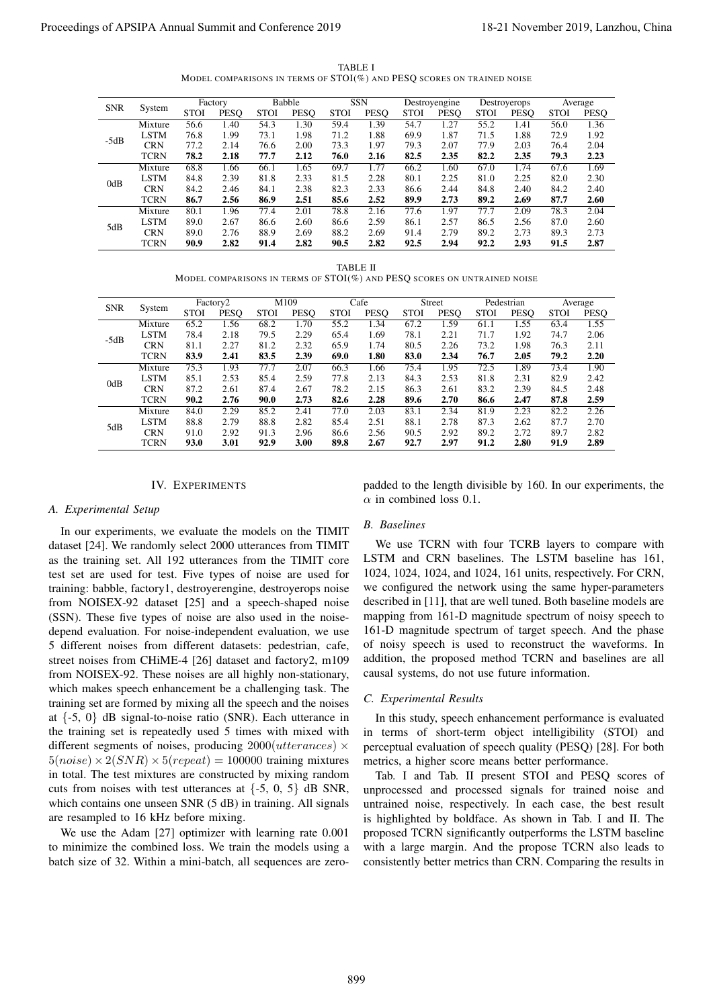TABLE I MODEL COMPARISONS IN TERMS OF STOI(%) AND PESQ SCORES ON TRAINED NOISE

| <b>SNR</b> | System      | Factory     |             | <b>Babble</b> |             | <b>SSN</b>  |             | Destroyengine |             | Destroyerops |             | Average     |      |
|------------|-------------|-------------|-------------|---------------|-------------|-------------|-------------|---------------|-------------|--------------|-------------|-------------|------|
|            |             | <b>STOI</b> | <b>PESO</b> | <b>STOI</b>   | <b>PESO</b> | <b>STOI</b> | <b>PESO</b> | <b>STOI</b>   | <b>PESO</b> | <b>STOI</b>  | <b>PESO</b> | <b>STOI</b> | PESQ |
| $-5dB$     | Mixture     | 56.6        | 1.40        | 54.3          | 1.30        | 59.4        | 1.39        | 54.7          | 1.27        | 55.2         | 1.41        | 56.0        | 1.36 |
|            | <b>LSTM</b> | 76.8        | 1.99        | 73.1          | 1.98        | 71.2        | 1.88        | 69.9          | 1.87        | 71.5         | 1.88        | 72.9        | 1.92 |
|            | <b>CRN</b>  | 77.2        | 2.14        | 76.6          | 2.00        | 73.3        | 1.97        | 79.3          | 2.07        | 77.9         | 2.03        | 76.4        | 2.04 |
|            | <b>TCRN</b> | 78.2        | 2.18        | 77.7          | 2.12        | 76.0        | 2.16        | 82.5          | 2.35        | 82.2         | 2.35        | 79.3        | 2.23 |
| 0dB        | Mixture     | 68.8        | 1.66        | 66.1          | 1.65        | 69.7        | 1.77        | 66.2          | 1.60        | 67.0         | 1.74        | 67.6        | 1.69 |
|            | <b>LSTM</b> | 84.8        | 2.39        | 81.8          | 2.33        | 81.5        | 2.28        | 80.1          | 2.25        | 81.0         | 2.25        | 82.0        | 2.30 |
|            | <b>CRN</b>  | 84.2        | 2.46        | 84.1          | 2.38        | 82.3        | 2.33        | 86.6          | 2.44        | 84.8         | 2.40        | 84.2        | 2.40 |
|            | <b>TCRN</b> | 86.7        | 2.56        | 86.9          | 2.51        | 85.6        | 2.52        | 89.9          | 2.73        | 89.2         | 2.69        | 87.7        | 2.60 |
| 5dB        | Mixture     | 80.1        | 1.96        | 77.4          | 2.01        | 78.8        | 2.16        | 77.6          | 1.97        | 77.7         | 2.09        | 78.3        | 2.04 |
|            | <b>LSTM</b> | 89.0        | 2.67        | 86.6          | 2.60        | 86.6        | 2.59        | 86.1          | 2.57        | 86.5         | 2.56        | 87.0        | 2.60 |
|            | <b>CRN</b>  | 89.0        | 2.76        | 88.9          | 2.69        | 88.2        | 2.69        | 91.4          | 2.79        | 89.2         | 2.73        | 89.3        | 2.73 |
|            | <b>TCRN</b> | 90.9        | 2.82        | 91.4          | 2.82        | 90.5        | 2.82        | 92.5          | 2.94        | 92.2         | 2.93        | 91.5        | 2.87 |

TABLE II

MODEL COMPARISONS IN TERMS OF STOI(%) AND PESQ SCORES ON UNTRAINED NOISE

| <b>SNR</b> | System      | Factory <sub>2</sub> |             | M109        |      | Cafe        |             | <b>Street</b> |             | Pedestrian  |             | Average     |      |
|------------|-------------|----------------------|-------------|-------------|------|-------------|-------------|---------------|-------------|-------------|-------------|-------------|------|
|            |             | <b>STOI</b>          | <b>PESO</b> | <b>STOI</b> | PESQ | <b>STOI</b> | <b>PESO</b> | <b>STOI</b>   | <b>PESO</b> | <b>STOI</b> | <b>PESO</b> | <b>STOI</b> | PESQ |
| $-5dB$     | Mixture     | 65.2                 | 1.56        | 68.2        | 1.70 | 55.2        | 1.34        | 67.2          | 1.59        | 61.1        | 1.55        | 63.4        | 1.55 |
|            | <b>LSTM</b> | 78.4                 | 2.18        | 79.5        | 2.29 | 65.4        | 1.69        | 78.1          | 2.21        | 71.7        | 1.92        | 74.7        | 2.06 |
|            | <b>CRN</b>  | 81.1                 | 2.27        | 81.2        | 2.32 | 65.9        | 1.74        | 80.5          | 2.26        | 73.2        | 1.98        | 76.3        | 2.11 |
|            | <b>TCRN</b> | 83.9                 | 2.41        | 83.5        | 2.39 | 69.0        | 1.80        | 83.0          | 2.34        | 76.7        | 2.05        | 79.2        | 2.20 |
| 0dB        | Mixture     | 75.3                 | 1.93        | 77.7        | 2.07 | 66.3        | 1.66        | 75.4          | 1.95        | 72.5        | 1.89        | 73.4        | 1.90 |
|            | <b>LSTM</b> | 85.1                 | 2.53        | 85.4        | 2.59 | 77.8        | 2.13        | 84.3          | 2.53        | 81.8        | 2.31        | 82.9        | 2.42 |
|            | <b>CRN</b>  | 87.2                 | 2.61        | 87.4        | 2.67 | 78.2        | 2.15        | 86.3          | 2.61        | 83.2        | 2.39        | 84.5        | 2.48 |
|            | <b>TCRN</b> | 90.2                 | 2.76        | 90.0        | 2.73 | 82.6        | 2.28        | 89.6          | 2.70        | 86.6        | 2.47        | 87.8        | 2.59 |
| 5dB        | Mixture     | 84.0                 | 2.29        | 85.2        | 2.41 | 77.0        | 2.03        | 83.1          | 2.34        | 81.9        | 2.23        | 82.2        | 2.26 |
|            | <b>LSTM</b> | 88.8                 | 2.79        | 88.8        | 2.82 | 85.4        | 2.51        | 88.1          | 2.78        | 87.3        | 2.62        | 87.7        | 2.70 |
|            | <b>CRN</b>  | 91.0                 | 2.92        | 91.3        | 2.96 | 86.6        | 2.56        | 90.5          | 2.92        | 89.2        | 2.72        | 89.7        | 2.82 |
|            | <b>TCRN</b> | 93.0                 | 3.01        | 92.9        | 3.00 | 89.8        | 2.67        | 92.7          | 2.97        | 91.2        | 2.80        | 91.9        | 2.89 |

## IV. EXPERIMENTS

#### *A. Experimental Setup*

In our experiments, we evaluate the models on the TIMIT dataset [24]. We randomly select 2000 utterances from TIMIT as the training set. All 192 utterances from the TIMIT core test set are used for test. Five types of noise are used for training: babble, factory1, destroyerengine, destroyerops noise from NOISEX-92 dataset [25] and a speech-shaped noise (SSN). These five types of noise are also used in the noisedepend evaluation. For noise-independent evaluation, we use 5 different noises from different datasets: pedestrian, cafe, street noises from CHiME-4 [26] dataset and factory2, m109 from NOISEX-92. These noises are all highly non-stationary, which makes speech enhancement be a challenging task. The training set are formed by mixing all the speech and the noises at  $\{-5, 0\}$  dB signal-to-noise ratio (SNR). Each utterance in the training set is repeatedly used 5 times with mixed with different segments of noises, producing  $2000(uthere) \times$  $5(noise) \times 2(SNR) \times 5(repeat) = 100000$  training mixtures in total. The test mixtures are constructed by mixing random cuts from noises with test utterances at  $\{-5, 0, 5\}$  dB SNR, which contains one unseen SNR (5 dB) in training. All signals are resampled to 16 kHz before mixing. Proceeding of APSIPA Annual Summit and Conference 2019<br>
The summit and conference 2019 in the summit and conference 2019 in the summit and conference 2019 in the summit and conference 2019 in the summit and conference 201

We use the Adam [27] optimizer with learning rate 0.001 to minimize the combined loss. We train the models using a batch size of 32. Within a mini-batch, all sequences are zeropadded to the length divisible by 160. In our experiments, the  $\alpha$  in combined loss 0.1.

#### *B. Baselines*

We use TCRN with four TCRB layers to compare with LSTM and CRN baselines. The LSTM baseline has 161, 1024, 1024, 1024, and 1024, 161 units, respectively. For CRN, we configured the network using the same hyper-parameters described in [11], that are well tuned. Both baseline models are mapping from 161-D magnitude spectrum of noisy speech to 161-D magnitude spectrum of target speech. And the phase of noisy speech is used to reconstruct the waveforms. In addition, the proposed method TCRN and baselines are all causal systems, do not use future information.

#### *C. Experimental Results*

In this study, speech enhancement performance is evaluated in terms of short-term object intelligibility (STOI) and perceptual evaluation of speech quality (PESQ) [28]. For both metrics, a higher score means better performance.

Tab. I and Tab. II present STOI and PESQ scores of unprocessed and processed signals for trained noise and untrained noise, respectively. In each case, the best result is highlighted by boldface. As shown in Tab. I and II. The proposed TCRN significantly outperforms the LSTM baseline with a large margin. And the propose TCRN also leads to consistently better metrics than CRN. Comparing the results in